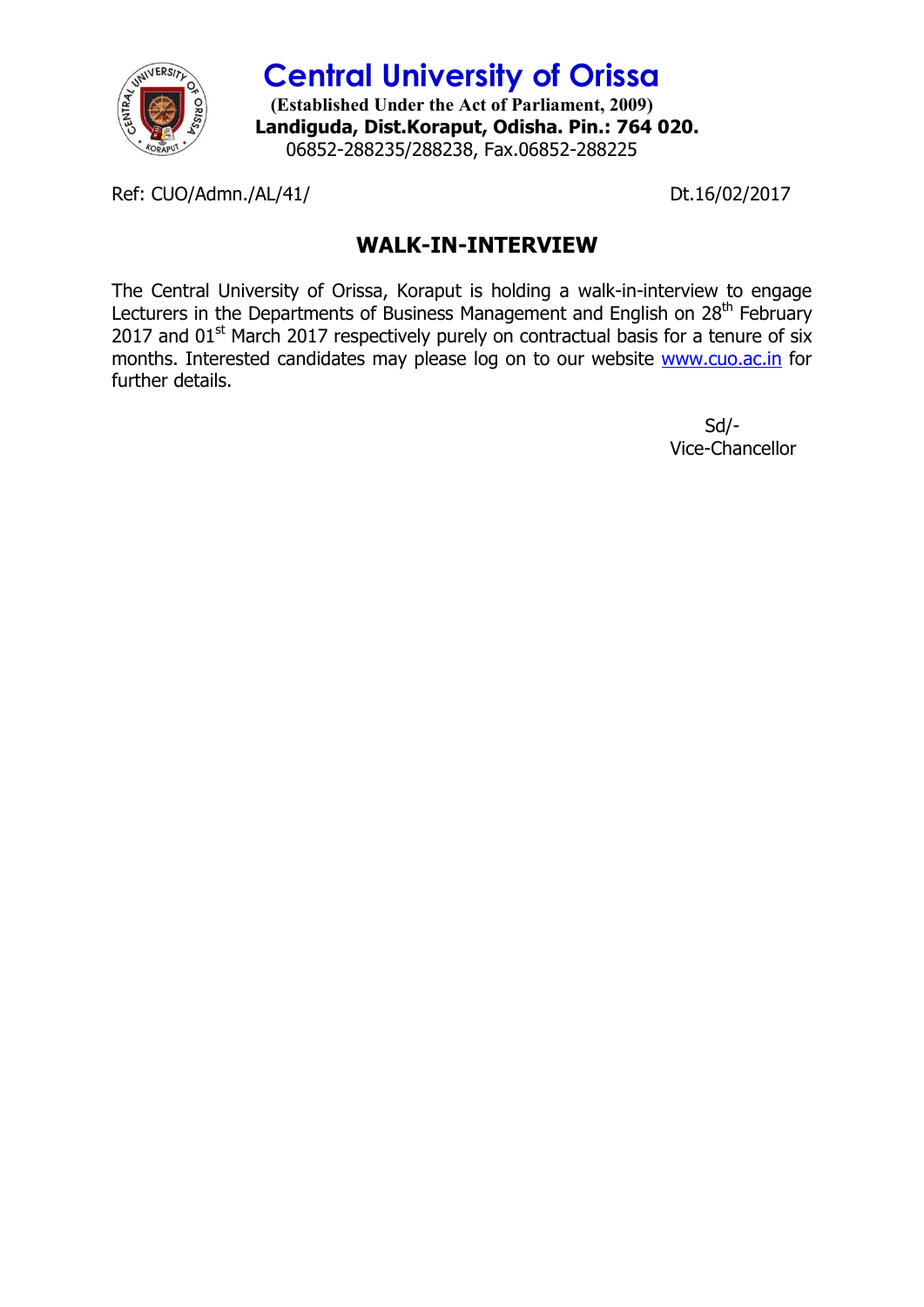

**Central University of Orissa (Established Under the Act of Parliament, 2009) Landiguda, Dist.Koraput, Odisha. Pin.: 764 020.** 06852-288235/288238, Fax.06852-288225

Ref: CUO/Admn./AL/41/ Dt.16/02/2017

## **WALK-IN-INTERVIEW**

The Central University of Orissa, Koraput is holding a walk-in-interview to engage Lecturers in the Departments of Business Management and English on 28<sup>th</sup> February 2017 and  $01<sup>st</sup>$  March 2017 respectively purely on contractual basis for a tenure of six months. Interested candidates may please log on to our website www.cuo.ac.in for further details.

> Sd/- Vice-Chancellor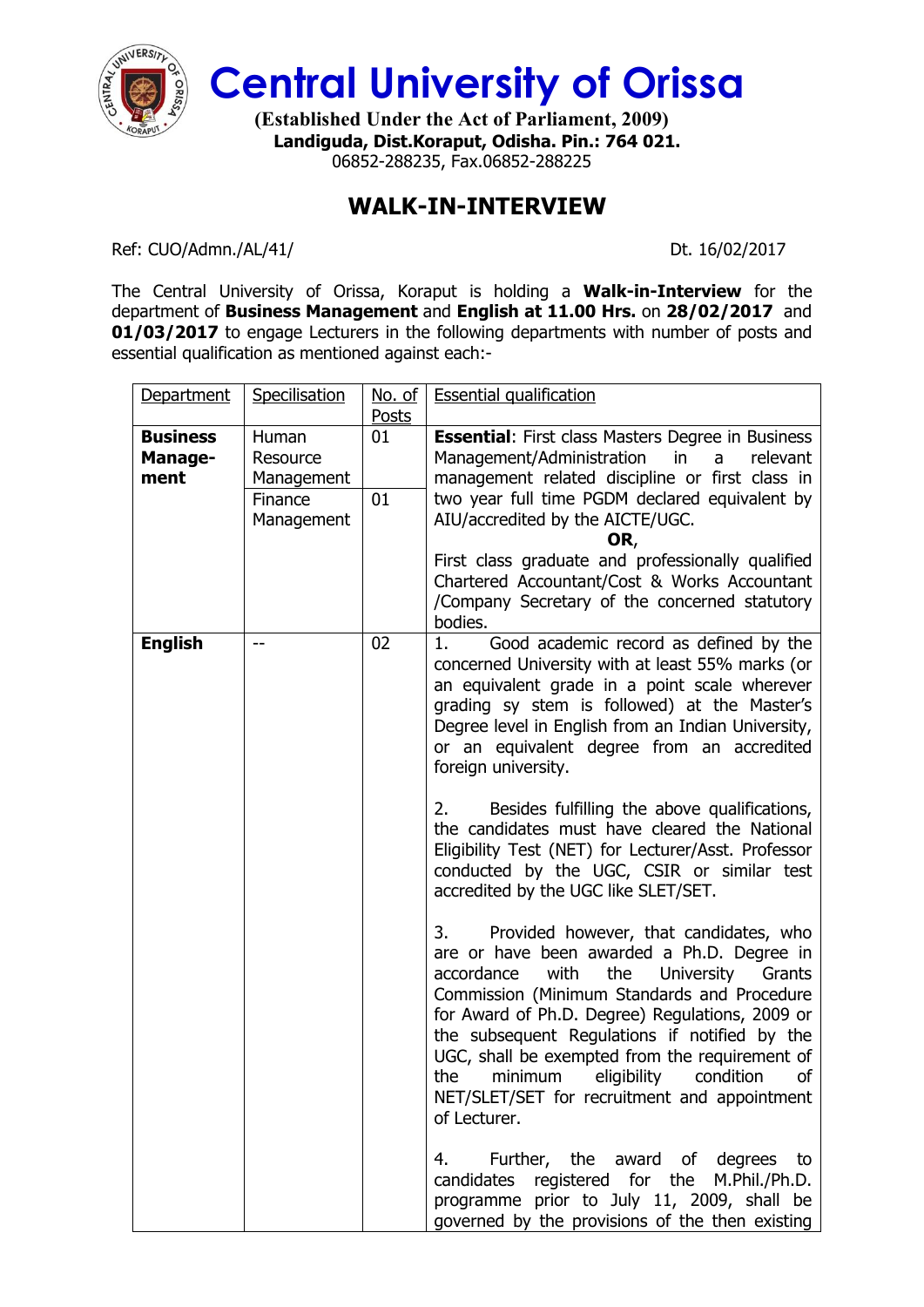

**Central University of Orissa**

**(Established Under the Act of Parliament, 2009) Landiguda, Dist.Koraput, Odisha. Pin.: 764 021.** 06852-288235, Fax.06852-288225

## **WALK-IN-INTERVIEW**

Ref: CUO/Admn./AL/41/ Dt. 16/02/2017

The Central University of Orissa, Koraput is holding a **Walk-in-Interview** for the department of **Business Management** and **English at 11.00 Hrs.** on **28/02/2017** and **01/03/2017** to engage Lecturers in the following departments with number of posts and essential qualification as mentioned against each:-

| Department                         | Specilisation                                            | No. of<br><b>Posts</b> | <b>Essential qualification</b>                                                                                                                                                                                                                                                                                                                                                                                                                                                  |
|------------------------------------|----------------------------------------------------------|------------------------|---------------------------------------------------------------------------------------------------------------------------------------------------------------------------------------------------------------------------------------------------------------------------------------------------------------------------------------------------------------------------------------------------------------------------------------------------------------------------------|
| <b>Business</b><br>Manage-<br>ment | Human<br>Resource<br>Management<br>Finance<br>Management | 01<br>01               | <b>Essential: First class Masters Degree in Business</b><br>Management/Administration in<br>a<br>relevant<br>management related discipline or first class in<br>two year full time PGDM declared equivalent by<br>AIU/accredited by the AICTE/UGC.<br>OR,<br>First class graduate and professionally qualified                                                                                                                                                                  |
|                                    |                                                          |                        | Chartered Accountant/Cost & Works Accountant<br>/Company Secretary of the concerned statutory<br>bodies.                                                                                                                                                                                                                                                                                                                                                                        |
| <b>English</b>                     |                                                          | 02                     | 1.<br>Good academic record as defined by the<br>concerned University with at least 55% marks (or<br>an equivalent grade in a point scale wherever<br>grading sy stem is followed) at the Master's<br>Degree level in English from an Indian University,<br>or an equivalent degree from an accredited<br>foreign university.                                                                                                                                                    |
|                                    |                                                          |                        | Besides fulfilling the above qualifications,<br>2.<br>the candidates must have cleared the National<br>Eligibility Test (NET) for Lecturer/Asst. Professor<br>conducted by the UGC, CSIR or similar test<br>accredited by the UGC like SLET/SET.                                                                                                                                                                                                                                |
|                                    |                                                          |                        | Provided however, that candidates, who<br>3.<br>are or have been awarded a Ph.D. Degree in<br>accordance<br>with<br>the<br><b>University</b><br>Grants<br>Commission (Minimum Standards and Procedure<br>for Award of Ph.D. Degree) Regulations, 2009 or<br>the subsequent Regulations if notified by the<br>UGC, shall be exempted from the requirement of<br>the<br>minimum<br>eligibility<br>condition<br>of<br>NET/SLET/SET for recruitment and appointment<br>of Lecturer. |
|                                    |                                                          |                        | Further, the award of degrees to<br>4.<br>candidates registered for the M.Phil./Ph.D.<br>programme prior to July 11, 2009, shall be<br>governed by the provisions of the then existing                                                                                                                                                                                                                                                                                          |